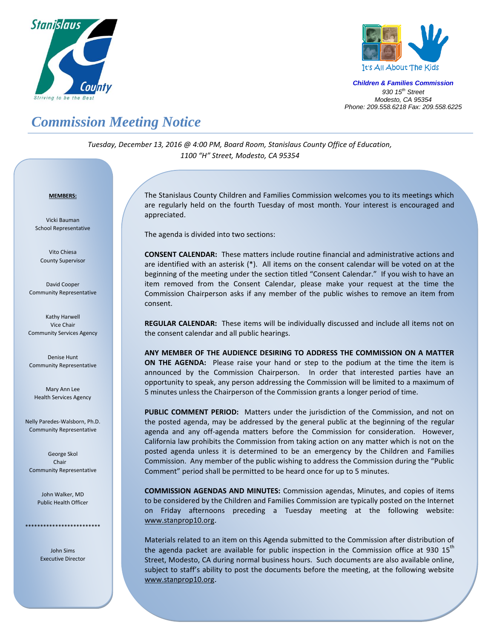



*Children & Families Commission 930 15 th Street Modesto, CA 95354 Phone: 209.558.6218 Fax: 209.558.6225*

## *Commission Meeting Notice*

*Tuesday, December 13, 2016 @ 4:00 PM, Board Room, Stanislaus County Office of Education, 1100 "H" Street, Modesto, CA 95354*

## *<sup>U</sup>***MEMBERS:**

Vicki Bauman School Representative

Vito Chiesa County Supervisor

David Cooper Community Representative

Kathy Harwell Vice Chair Community Services Agency

Denise Hunt Community Representative

Mary Ann Lee Health Services Agency

Nelly Paredes-Walsborn, Ph.D. Community Representative

George Skol Chair Community Representative

> John Walker, MD Public Health Officer

\*\*\*\*\*\*\*\*\*\*\*\*\*\*\*\*\*\*\*\*\*\*\*\*\*

John Sims Executive Director The Stanislaus County Children and Families Commission welcomes you to its meetings which are regularly held on the fourth Tuesday of most month. Your interest is encouraged and appreciated.

The agenda is divided into two sections:

**CONSENT CALENDAR:** These matters include routine financial and administrative actions and are identified with an asterisk (\*). All items on the consent calendar will be voted on at the beginning of the meeting under the section titled "Consent Calendar." If you wish to have an item removed from the Consent Calendar, please make your request at the time the Commission Chairperson asks if any member of the public wishes to remove an item from consent.

**REGULAR CALENDAR:** These items will be individually discussed and include all items not on the consent calendar and all public hearings.

**ANY MEMBER OF THE AUDIENCE DESIRING TO ADDRESS THE COMMISSION ON A MATTER ON THE AGENDA:** Please raise your hand or step to the podium at the time the item is announced by the Commission Chairperson. In order that interested parties have an opportunity to speak, any person addressing the Commission will be limited to a maximum of 5 minutes unless the Chairperson of the Commission grants a longer period of time.

**PUBLIC COMMENT PERIOD:** Matters under the jurisdiction of the Commission, and not on the posted agenda, may be addressed by the general public at the beginning of the regular agenda and any off-agenda matters before the Commission for consideration. However, California law prohibits the Commission from taking action on any matter which is not on the posted agenda unless it is determined to be an emergency by the Children and Families Commission. Any member of the public wishing to address the Commission during the "Public Comment" period shall be permitted to be heard once for up to 5 minutes.

**COMMISSION AGENDAS AND MINUTES:** Commission agendas, Minutes, and copies of items to be considered by the Children and Families Commission are typically posted on the Internet on Friday afternoons preceding a Tuesday meeting at the following website: [www.stanprop10.org](http://www.stanprop10.org/).

Materials related to an item on this Agenda submitted to the Commission after distribution of the agenda packet are available for public inspection in the Commission office at 930 15<sup>th</sup> Street, Modesto, CA during normal business hours. Such documents are also available online, subject to staff's ability to post the documents before the meeting, at the following website [www.stanprop10.org](http://www.stanprop10.org/).